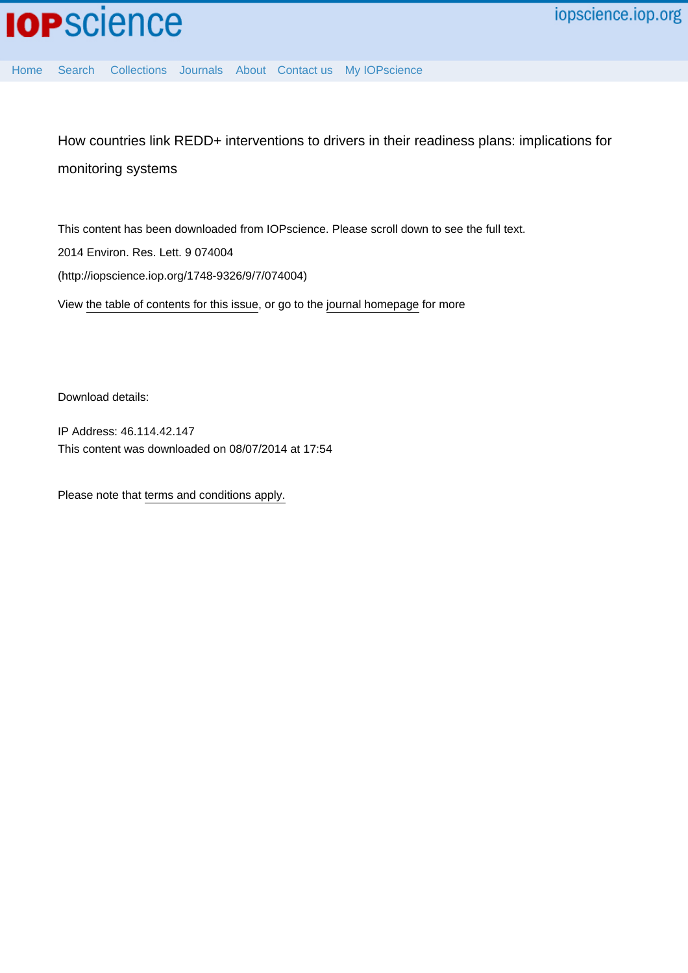

[Home](http://iopscience.iop.org/) [Search](http://iopscience.iop.org/search) [Collections](http://iopscience.iop.org/collections) [Journals](http://iopscience.iop.org/journals) [About](http://iopscience.iop.org/page/aboutioppublishing) [Contact us](http://iopscience.iop.org/contact) [My IOPscience](http://iopscience.iop.org/myiopscience)

How countries link REDD+ interventions to drivers in their readiness plans: implications for monitoring systems

This content has been downloaded from IOPscience. Please scroll down to see the full text. View [the table of contents for this issue](http://iopscience.iop.org/1748-9326/9/7), or go to the [journal homepage](http://iopscience.iop.org/1748-9326) for more 2014 Environ. Res. Lett. 9 074004 (http://iopscience.iop.org/1748-9326/9/7/074004)

Download details:

IP Address: 46.114.42.147 This content was downloaded on 08/07/2014 at 17:54

Please note that [terms and conditions apply.](iopscience.iop.org/page/terms)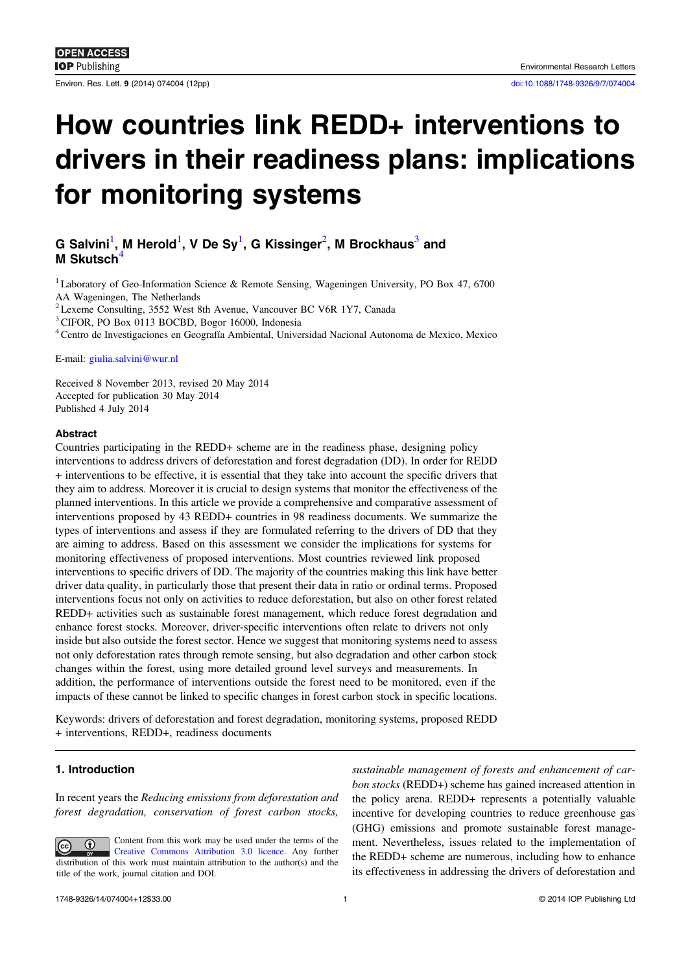Environ. Res. Lett. 9 (2014) 074004 (12pp) [doi:10.1088/1748-9326/9/7/074004](http://dx.doi.org/10.1088/1748-9326/9/7/074004)

# How countries link REDD+ interventions to drivers in their readiness plans: implications for monitoring systems

## G Salvini $^{\rm l}$ , M Herold $^{\rm l}$ , V De Sy $^{\rm l}$ , G Kissinger $^{\rm 2}$ , M Brockhaus $^{\rm 3}$  and M Skutsch $4$

<sup>1</sup> Laboratory of Geo-Information Science & Remote Sensing, Wageningen University, PO Box 47, 6700 AA Wageningen, The Netherlands

<sup>2</sup> Lexeme Consulting, 3552 West 8th Avenue, Vancouver BC V6R 1Y7, Canada

3CIFOR, PO Box 0113 BOCBD, Bogor 16000, Indonesia

4Centro de Investigaciones en Geografía Ambiental, Universidad Nacional Autonoma de Mexico, Mexico

E-mail: [giulia.salvini@wur.nl](mailto:giulia.salvini@wur.nl)

Received 8 November 2013, revised 20 May 2014 Accepted for publication 30 May 2014 Published 4 July 2014

### Abstract

Countries participating in the REDD+ scheme are in the readiness phase, designing policy interventions to address drivers of deforestation and forest degradation (DD). In order for REDD + interventions to be effective, it is essential that they take into account the specific drivers that they aim to address. Moreover it is crucial to design systems that monitor the effectiveness of the planned interventions. In this article we provide a comprehensive and comparative assessment of interventions proposed by 43 REDD+ countries in 98 readiness documents. We summarize the types of interventions and assess if they are formulated referring to the drivers of DD that they are aiming to address. Based on this assessment we consider the implications for systems for monitoring effectiveness of proposed interventions. Most countries reviewed link proposed interventions to specific drivers of DD. The majority of the countries making this link have better driver data quality, in particularly those that present their data in ratio or ordinal terms. Proposed interventions focus not only on activities to reduce deforestation, but also on other forest related REDD+ activities such as sustainable forest management, which reduce forest degradation and enhance forest stocks. Moreover, driver-specific interventions often relate to drivers not only inside but also outside the forest sector. Hence we suggest that monitoring systems need to assess not only deforestation rates through remote sensing, but also degradation and other carbon stock changes within the forest, using more detailed ground level surveys and measurements. In addition, the performance of interventions outside the forest need to be monitored, even if the impacts of these cannot be linked to specific changes in forest carbon stock in specific locations.

Keywords: drivers of deforestation and forest degradation, monitoring systems, proposed REDD + interventions, REDD+, readiness documents

## 1. Introduction

In recent years the Reducing emissions from deforestation and forest degradation, conservation of forest carbon stocks,

sustainable management of forests and enhancement of carbon stocks (REDD+) scheme has gained increased attention in the policy arena. REDD+ represents a potentially valuable incentive for developing countries to reduce greenhouse gas (GHG) emissions and promote sustainable forest management. Nevertheless, issues related to the implementation of the REDD+ scheme are numerous, including how to enhance its effectiveness in addressing the drivers of deforestation and

Content from this work may be used under the terms of the  $\bigcirc$ [Creative Commons Attribution 3.0 licence.](http://creativecommons.org/licenses/by/3.0) Any further distribution of this work must maintain attribution to the author(s) and the title of the work, journal citation and DOI.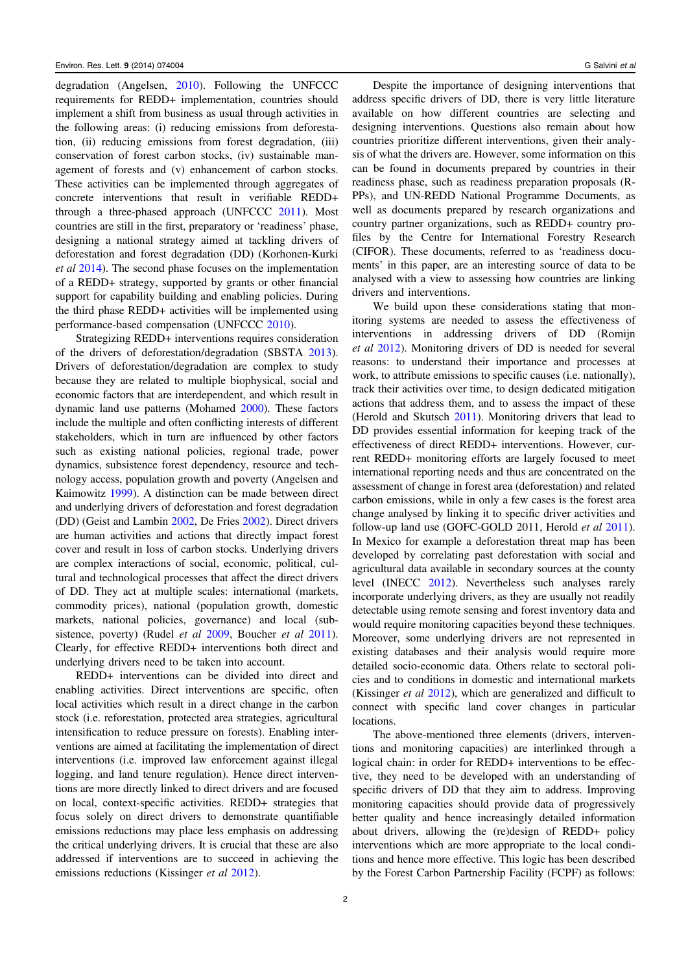degradation (Angelsen, [2010](#page-10-0)). Following the UNFCCC requirements for REDD+ implementation, countries should implement a shift from business as usual through activities in the following areas: (i) reducing emissions from deforestation, (ii) reducing emissions from forest degradation, (iii) conservation of forest carbon stocks, (iv) sustainable management of forests and (v) enhancement of carbon stocks. These activities can be implemented through aggregates of concrete interventions that result in verifiable REDD+ through a three-phased approach (UNFCCC [2011](#page-12-0)). Most countries are still in the first, preparatory or 'readiness' phase, designing a national strategy aimed at tackling drivers of deforestation and forest degradation (DD) (Korhonen-Kurki et al [2014](#page-11-0)). The second phase focuses on the implementation of a REDD+ strategy, supported by grants or other financial support for capability building and enabling policies. During the third phase REDD+ activities will be implemented using performance-based compensation (UNFCCC [2010](#page-12-0)).

Strategizing REDD+ interventions requires consideration of the drivers of deforestation/degradation (SBSTA [2013](#page-12-0)). Drivers of deforestation/degradation are complex to study because they are related to multiple biophysical, social and economic factors that are interdependent, and which result in dynamic land use patterns (Mohamed [2000](#page-11-0)). These factors include the multiple and often conflicting interests of different stakeholders, which in turn are influenced by other factors such as existing national policies, regional trade, power dynamics, subsistence forest dependency, resource and technology access, population growth and poverty (Angelsen and Kaimowitz [1999\)](#page-10-0). A distinction can be made between direct and underlying drivers of deforestation and forest degradation (DD) (Geist and Lambin [2002](#page-11-0), De Fries 2002). Direct drivers are human activities and actions that directly impact forest cover and result in loss of carbon stocks. Underlying drivers are complex interactions of social, economic, political, cultural and technological processes that affect the direct drivers of DD. They act at multiple scales: international (markets, commodity prices), national (population growth, domestic markets, national policies, governance) and local (subsistence, poverty) (Rudel *et al* 2009, Boucher *et al* [2011](#page-11-0)). Clearly, for effective REDD+ interventions both direct and underlying drivers need to be taken into account.

REDD+ interventions can be divided into direct and enabling activities. Direct interventions are specific, often local activities which result in a direct change in the carbon stock (i.e. reforestation, protected area strategies, agricultural intensification to reduce pressure on forests). Enabling interventions are aimed at facilitating the implementation of direct interventions (i.e. improved law enforcement against illegal logging, and land tenure regulation). Hence direct interventions are more directly linked to direct drivers and are focused on local, context-specific activities. REDD+ strategies that focus solely on direct drivers to demonstrate quantifiable emissions reductions may place less emphasis on addressing the critical underlying drivers. It is crucial that these are also addressed if interventions are to succeed in achieving the emissions reductions (Kissinger et al [2012](#page-11-0)).

Despite the importance of designing interventions that address specific drivers of DD, there is very little literature available on how different countries are selecting and designing interventions. Questions also remain about how countries prioritize different interventions, given their analysis of what the drivers are. However, some information on this can be found in documents prepared by countries in their readiness phase, such as readiness preparation proposals (R-PPs), and UN-REDD National Programme Documents, as well as documents prepared by research organizations and country partner organizations, such as REDD+ country profiles by the Centre for International Forestry Research (CIFOR). These documents, referred to as 'readiness documents' in this paper, are an interesting source of data to be analysed with a view to assessing how countries are linking drivers and interventions.

We build upon these considerations stating that monitoring systems are needed to assess the effectiveness of interventions in addressing drivers of DD (Romijn et al [2012\)](#page-11-0). Monitoring drivers of DD is needed for several reasons: to understand their importance and processes at work, to attribute emissions to specific causes (i.e. nationally), track their activities over time, to design dedicated mitigation actions that address them, and to assess the impact of these (Herold and Skutsch [2011](#page-11-0)). Monitoring drivers that lead to DD provides essential information for keeping track of the effectiveness of direct REDD+ interventions. However, current REDD+ monitoring efforts are largely focused to meet international reporting needs and thus are concentrated on the assessment of change in forest area (deforestation) and related carbon emissions, while in only a few cases is the forest area change analysed by linking it to specific driver activities and follow-up land use (GOFC-GOLD [2011](#page-11-0), Herold *et al* 2011). In Mexico for example a deforestation threat map has been developed by correlating past deforestation with social and agricultural data available in secondary sources at the county level (INECC [2012\)](#page-11-0). Nevertheless such analyses rarely incorporate underlying drivers, as they are usually not readily detectable using remote sensing and forest inventory data and would require monitoring capacities beyond these techniques. Moreover, some underlying drivers are not represented in existing databases and their analysis would require more detailed socio-economic data. Others relate to sectoral policies and to conditions in domestic and international markets (Kissinger et al [2012](#page-11-0)), which are generalized and difficult to connect with specific land cover changes in particular locations.

The above-mentioned three elements (drivers, interventions and monitoring capacities) are interlinked through a logical chain: in order for REDD+ interventions to be effective, they need to be developed with an understanding of specific drivers of DD that they aim to address. Improving monitoring capacities should provide data of progressively better quality and hence increasingly detailed information about drivers, allowing the (re)design of REDD+ policy interventions which are more appropriate to the local conditions and hence more effective. This logic has been described by the Forest Carbon Partnership Facility (FCPF) as follows: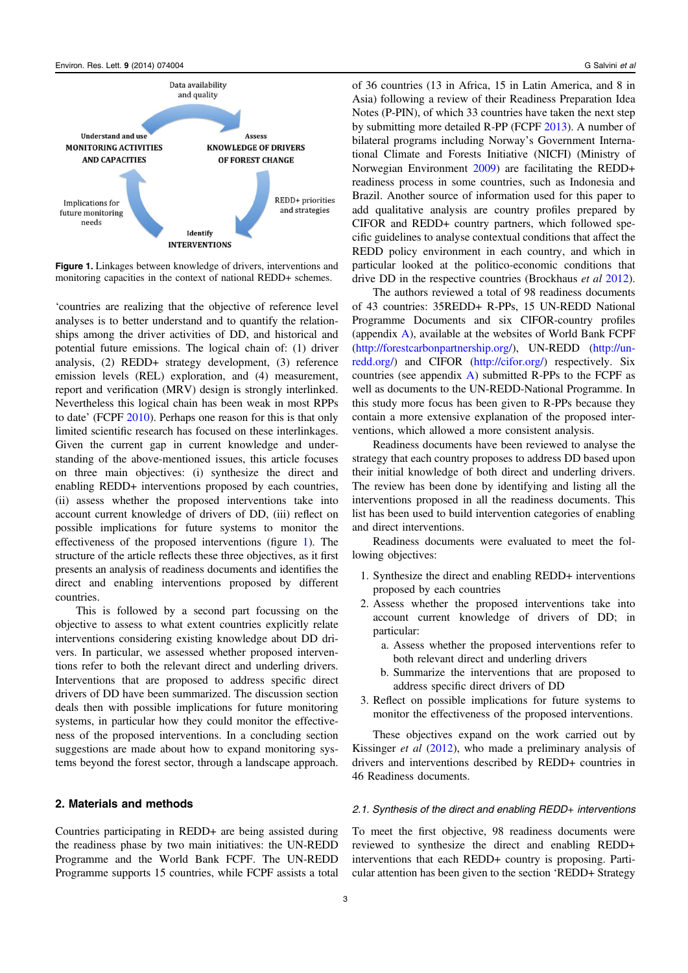

Figure 1. Linkages between knowledge of drivers, interventions and monitoring capacities in the context of national REDD+ schemes.

'countries are realizing that the objective of reference level analyses is to better understand and to quantify the relationships among the driver activities of DD, and historical and potential future emissions. The logical chain of: (1) driver analysis, (2) REDD+ strategy development, (3) reference emission levels (REL) exploration, and (4) measurement, report and verification (MRV) design is strongly interlinked. Nevertheless this logical chain has been weak in most RPPs to date' (FCPF [2010\)](#page-11-0). Perhaps one reason for this is that only limited scientific research has focused on these interlinkages. Given the current gap in current knowledge and understanding of the above-mentioned issues, this article focuses on three main objectives: (i) synthesize the direct and enabling REDD+ interventions proposed by each countries, (ii) assess whether the proposed interventions take into account current knowledge of drivers of DD, (iii) reflect on possible implications for future systems to monitor the effectiveness of the proposed interventions (figure 1). The structure of the article reflects these three objectives, as it first presents an analysis of readiness documents and identifies the direct and enabling interventions proposed by different countries.

This is followed by a second part focussing on the objective to assess to what extent countries explicitly relate interventions considering existing knowledge about DD drivers. In particular, we assessed whether proposed interventions refer to both the relevant direct and underling drivers. Interventions that are proposed to address specific direct drivers of DD have been summarized. The discussion section deals then with possible implications for future monitoring systems, in particular how they could monitor the effectiveness of the proposed interventions. In a concluding section suggestions are made about how to expand monitoring systems beyond the forest sector, through a landscape approach.

### 2. Materials and methods

Countries participating in REDD+ are being assisted during the readiness phase by two main initiatives: the UN-REDD Programme and the World Bank FCPF. The UN-REDD Programme supports 15 countries, while FCPF assists a total of 36 countries (13 in Africa, 15 in Latin America, and 8 in Asia) following a review of their Readiness Preparation Idea Notes (P-PIN), of which 33 countries have taken the next step by submitting more detailed R-PP (FCPF [2013\)](#page-11-0). A number of bilateral programs including Norway's Government International Climate and Forests Initiative (NICFI) (Ministry of Norwegian Environment [2009](#page-11-0)) are facilitating the REDD+ readiness process in some countries, such as Indonesia and Brazil. Another source of information used for this paper to add qualitative analysis are country profiles prepared by CIFOR and REDD+ country partners, which followed specific guidelines to analyse contextual conditions that affect the REDD policy environment in each country, and which in particular looked at the politico-economic conditions that drive DD in the respective countries (Brockhaus et al [2012](#page-11-0)).

The authors reviewed a total of 98 readiness documents of 43 countries: 35REDD+ R-PPs, 15 UN-REDD National Programme Documents and six CIFOR-country profiles (appendix [A\)](#page-9-0), available at the websites of World Bank FCPF [\(http://forestcarbonpartnership.org/](http://forestcarbonpartnership.org/)), UN-REDD [\(http://un](http://un-redd.org/)[redd.org/\)](http://un-redd.org/) and CIFOR [\(http://cifor.org/](http://cifor.org/)) respectively. Six countries (see appendix  $\overline{A}$ ) submitted R-PPs to the FCPF as well as documents to the UN-REDD-National Programme. In this study more focus has been given to R-PPs because they contain a more extensive explanation of the proposed interventions, which allowed a more consistent analysis.

Readiness documents have been reviewed to analyse the strategy that each country proposes to address DD based upon their initial knowledge of both direct and underling drivers. The review has been done by identifying and listing all the interventions proposed in all the readiness documents. This list has been used to build intervention categories of enabling and direct interventions.

Readiness documents were evaluated to meet the following objectives:

- 1. Synthesize the direct and enabling REDD+ interventions proposed by each countries
- 2. Assess whether the proposed interventions take into account current knowledge of drivers of DD; in particular:
	- a. Assess whether the proposed interventions refer to both relevant direct and underling drivers
	- b. Summarize the interventions that are proposed to address specific direct drivers of DD
- 3. Reflect on possible implications for future systems to monitor the effectiveness of the proposed interventions.

These objectives expand on the work carried out by Kissinger *et al* [\(2012](#page-11-0)), who made a preliminary analysis of drivers and interventions described by REDD+ countries in 46 Readiness documents.

#### 2.1. Synthesis of the direct and enabling REDD+ interventions

To meet the first objective, 98 readiness documents were reviewed to synthesize the direct and enabling REDD+ interventions that each REDD+ country is proposing. Particular attention has been given to the section 'REDD+ Strategy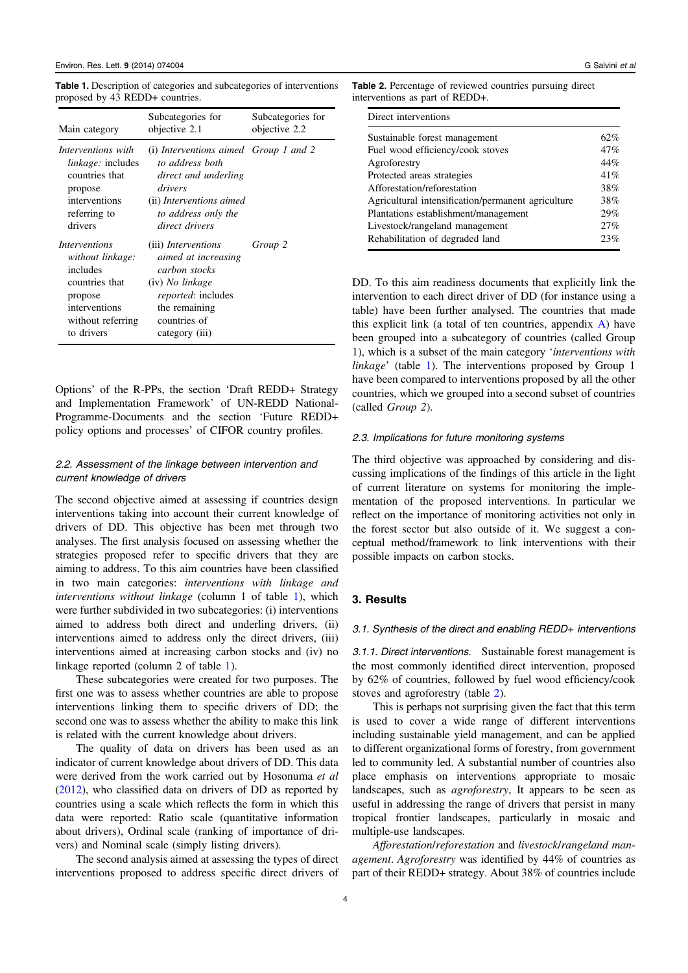<span id="page-4-0"></span>Table 1. Description of categories and subcategories of interventions proposed by 43 REDD+ countries.

| Main category                                                                                                                                       | Subcategories for<br>objective 2.1                                                                                                                                     | Subcategories for<br>objective 2.2 |
|-----------------------------------------------------------------------------------------------------------------------------------------------------|------------------------------------------------------------------------------------------------------------------------------------------------------------------------|------------------------------------|
| Interventions with<br><i>linkage</i> : includes<br>countries that<br>propose<br>interventions<br>referring to<br>drivers                            | $(i)$ Interventions aimed Group 1 and 2<br>to address both<br>direct and underling<br>drivers<br>(ii) Interventions aimed<br>to address only the<br>direct drivers     |                                    |
| <i><u><b>Interventions</b></u></i><br>without linkage:<br>includes<br>countries that<br>propose<br>interventions<br>without referring<br>to drivers | (iii) <i>Interventions</i><br>aimed at increasing<br>carbon stocks<br>(iv) No linkage<br><i>reported</i> : includes<br>the remaining<br>countries of<br>category (iii) | Group 2                            |

Options' of the R-PPs, the section 'Draft REDD+ Strategy and Implementation Framework' of UN-REDD National-Programme-Documents and the section 'Future REDD+ policy options and processes' of CIFOR country profiles.

## 2.2. Assessment of the linkage between intervention and current knowledge of drivers

The second objective aimed at assessing if countries design interventions taking into account their current knowledge of drivers of DD. This objective has been met through two analyses. The first analysis focused on assessing whether the strategies proposed refer to specific drivers that they are aiming to address. To this aim countries have been classified in two main categories: interventions with linkage and interventions without linkage (column 1 of table 1), which were further subdivided in two subcategories: (i) interventions aimed to address both direct and underling drivers, (ii) interventions aimed to address only the direct drivers, (iii) interventions aimed at increasing carbon stocks and (iv) no linkage reported (column 2 of table 1).

These subcategories were created for two purposes. The first one was to assess whether countries are able to propose interventions linking them to specific drivers of DD; the second one was to assess whether the ability to make this link is related with the current knowledge about drivers.

The quality of data on drivers has been used as an indicator of current knowledge about drivers of DD. This data were derived from the work carried out by Hosonuma et al [\(2012\)](#page-11-0), who classified data on drivers of DD as reported by countries using a scale which reflects the form in which this data were reported: Ratio scale (quantitative information about drivers), Ordinal scale (ranking of importance of drivers) and Nominal scale (simply listing drivers).

The second analysis aimed at assessing the types of direct interventions proposed to address specific direct drivers of

|  | Table 2. Percentage of reviewed countries pursuing direct |  |  |
|--|-----------------------------------------------------------|--|--|
|  | interventions as part of REDD+.                           |  |  |

| Direct interventions                               |     |
|----------------------------------------------------|-----|
| Sustainable forest management                      | 62% |
| Fuel wood efficiency/cook stoves                   | 47% |
| Agroforestry                                       | 44% |
| Protected areas strategies                         | 41% |
| Afforestation/reforestation                        | 38% |
| Agricultural intensification/permanent agriculture | 38% |
| Plantations establishment/management               | 29% |
| Livestock/rangeland management                     | 27% |
| Rehabilitation of degraded land                    | 23% |

DD. To this aim readiness documents that explicitly link the intervention to each direct driver of DD (for instance using a table) have been further analysed. The countries that made this explicit link (a total of ten countries, appendix [A](#page-9-0)) have been grouped into a subcategory of countries (called Group 1), which is a subset of the main category 'interventions with linkage' (table 1). The interventions proposed by Group 1 have been compared to interventions proposed by all the other countries, which we grouped into a second subset of countries (called Group 2).

## 2.3. Implications for future monitoring systems

The third objective was approached by considering and discussing implications of the findings of this article in the light of current literature on systems for monitoring the implementation of the proposed interventions. In particular we reflect on the importance of monitoring activities not only in the forest sector but also outside of it. We suggest a conceptual method/framework to link interventions with their possible impacts on carbon stocks.

## 3. Results

#### 3.1. Synthesis of the direct and enabling REDD+ interventions

3.1.1. Direct interventions. Sustainable forest management is the most commonly identified direct intervention, proposed by 62% of countries, followed by fuel wood efficiency/cook stoves and agroforestry (table 2).

This is perhaps not surprising given the fact that this term is used to cover a wide range of different interventions including sustainable yield management, and can be applied to different organizational forms of forestry, from government led to community led. A substantial number of countries also place emphasis on interventions appropriate to mosaic landscapes, such as agroforestry, It appears to be seen as useful in addressing the range of drivers that persist in many tropical frontier landscapes, particularly in mosaic and multiple-use landscapes.

Afforestation/reforestation and livestock/rangeland management. Agroforestry was identified by 44% of countries as part of their REDD+ strategy. About 38% of countries include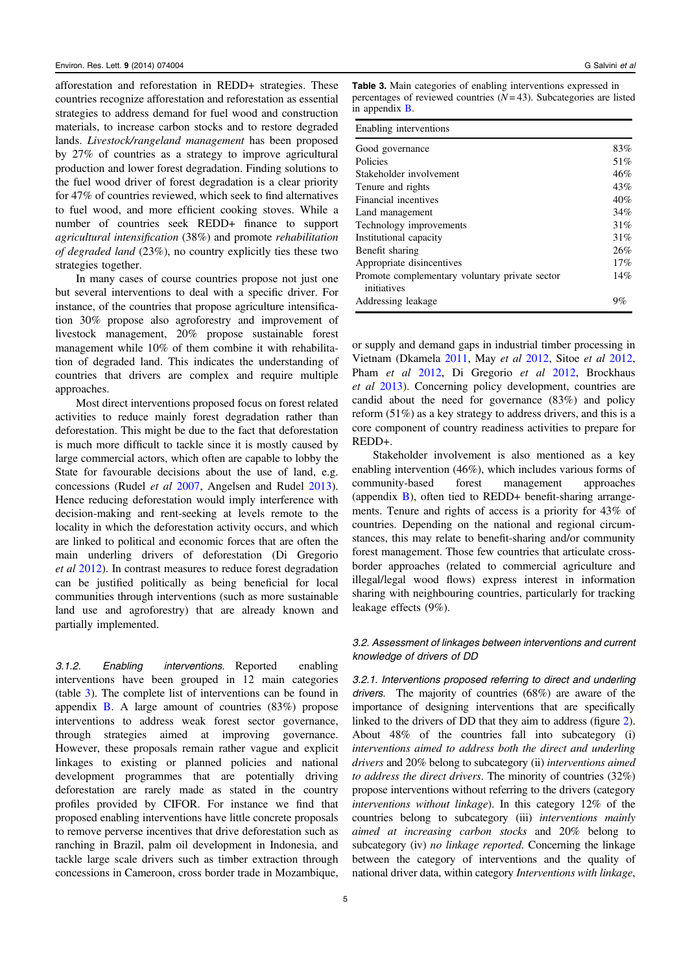<span id="page-5-0"></span>afforestation and reforestation in REDD+ strategies. These countries recognize afforestation and reforestation as essential strategies to address demand for fuel wood and construction materials, to increase carbon stocks and to restore degraded lands. Livestock/rangeland management has been proposed by 27% of countries as a strategy to improve agricultural production and lower forest degradation. Finding solutions to the fuel wood driver of forest degradation is a clear priority for 47% of countries reviewed, which seek to find alternatives to fuel wood, and more efficient cooking stoves. While a number of countries seek REDD+ finance to support agricultural intensification (38%) and promote rehabilitation of degraded land (23%), no country explicitly ties these two strategies together.

In many cases of course countries propose not just one but several interventions to deal with a specific driver. For instance, of the countries that propose agriculture intensification 30% propose also agroforestry and improvement of livestock management, 20% propose sustainable forest management while 10% of them combine it with rehabilitation of degraded land. This indicates the understanding of countries that drivers are complex and require multiple approaches.

Most direct interventions proposed focus on forest related activities to reduce mainly forest degradation rather than deforestation. This might be due to the fact that deforestation is much more difficult to tackle since it is mostly caused by large commercial actors, which often are capable to lobby the State for favourable decisions about the use of land, e.g. concessions (Rudel et al 2007, Angelsen and Rudel [2013](#page-10-0)). Hence reducing deforestation would imply interference with decision-making and rent-seeking at levels remote to the locality in which the deforestation activity occurs, and which are linked to political and economic forces that are often the main underling drivers of deforestation (Di Gregorio et al [2012](#page-11-0)). In contrast measures to reduce forest degradation can be justified politically as being beneficial for local communities through interventions (such as more sustainable land use and agroforestry) that are already known and partially implemented.

3.1.2. Enabling interventions. Reported enabling interventions have been grouped in 12 main categories (table 3). The complete list of interventions can be found in appendix [B](#page-10-0). A large amount of countries (83%) propose interventions to address weak forest sector governance, through strategies aimed at improving governance. However, these proposals remain rather vague and explicit linkages to existing or planned policies and national development programmes that are potentially driving deforestation are rarely made as stated in the country profiles provided by CIFOR. For instance we find that proposed enabling interventions have little concrete proposals to remove perverse incentives that drive deforestation such as ranching in Brazil, palm oil development in Indonesia, and tackle large scale drivers such as timber extraction through concessions in Cameroon, cross border trade in Mozambique,

5

| Enabling interventions                                        |       |
|---------------------------------------------------------------|-------|
| Good governance                                               | 83%   |
| Policies                                                      | 51%   |
| Stakeholder involvement                                       | 46%   |
| Tenure and rights                                             | 43%   |
| Financial incentives                                          | 40%   |
| Land management                                               | 34%   |
| Technology improvements                                       | 31%   |
| Institutional capacity                                        | 31%   |
| Benefit sharing                                               | 26%   |
| Appropriate disincentives                                     | 17%   |
| Promote complementary voluntary private sector<br>initiatives | 14%   |
| Addressing leakage                                            | $9\%$ |

or supply and demand gaps in industrial timber processing in Vietnam (Dkamela [2011,](#page-11-0) May et al [2012](#page-11-0), Sitoe et al [2012](#page-12-0), Pham et al [2012](#page-11-0), Di Gregorio et al [2012](#page-11-0), Brockhaus et al [2013\)](#page-11-0). Concerning policy development, countries are candid about the need for governance (83%) and policy reform (51%) as a key strategy to address drivers, and this is a core component of country readiness activities to prepare for REDD+.

Stakeholder involvement is also mentioned as a key enabling intervention (46%), which includes various forms of community-based forest management approaches (appendix [B\)](#page-10-0), often tied to REDD+ benefit-sharing arrangements. Tenure and rights of access is a priority for 43% of countries. Depending on the national and regional circumstances, this may relate to benefit-sharing and/or community forest management. Those few countries that articulate crossborder approaches (related to commercial agriculture and illegal/legal wood flows) express interest in information sharing with neighbouring countries, particularly for tracking leakage effects (9%).

## 3.2. Assessment of linkages between interventions and current knowledge of drivers of DD

3.2.1. Interventions proposed referring to direct and underling drivers. The majority of countries (68%) are aware of the importance of designing interventions that are specifically linked to the drivers of DD that they aim to address (figure [2](#page-6-0)). About 48% of the countries fall into subcategory (i) interventions aimed to address both the direct and underling drivers and 20% belong to subcategory (ii) interventions aimed to address the direct drivers. The minority of countries (32%) propose interventions without referring to the drivers (category interventions without linkage). In this category 12% of the countries belong to subcategory (iii) interventions mainly aimed at increasing carbon stocks and 20% belong to subcategory (iv) no linkage reported. Concerning the linkage between the category of interventions and the quality of national driver data, within category Interventions with linkage,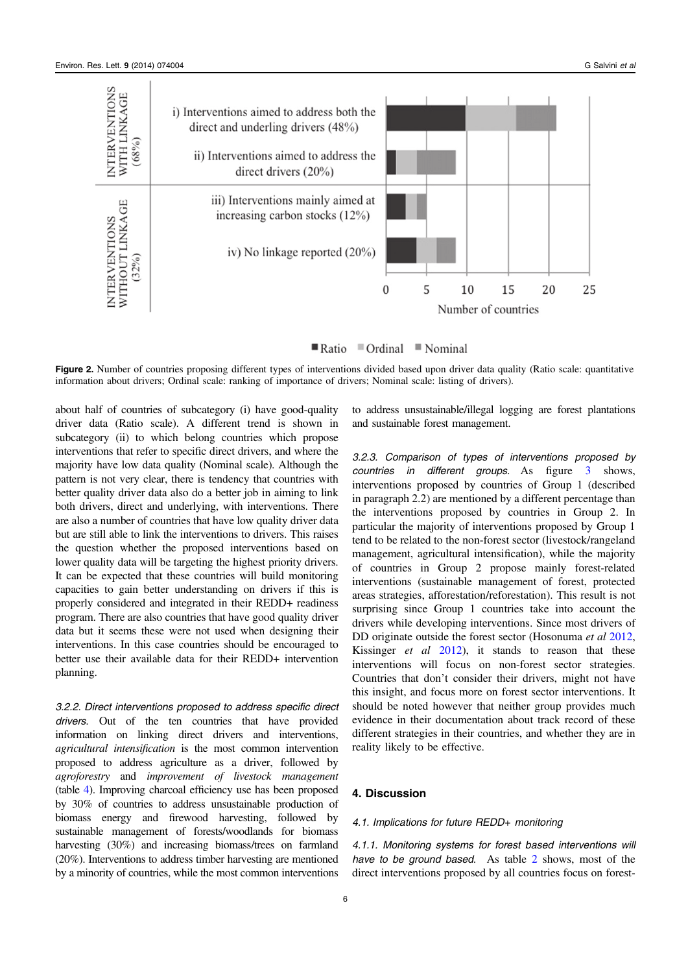<span id="page-6-0"></span>

 $\blacksquare$  Ratio  $\blacksquare$  Ordinal  $\blacksquare$  Nominal

Figure 2. Number of countries proposing different types of interventions divided based upon driver data quality (Ratio scale: quantitative information about drivers; Ordinal scale: ranking of importance of drivers; Nominal scale: listing of drivers).

about half of countries of subcategory (i) have good-quality driver data (Ratio scale). A different trend is shown in subcategory (ii) to which belong countries which propose interventions that refer to specific direct drivers, and where the majority have low data quality (Nominal scale). Although the pattern is not very clear, there is tendency that countries with better quality driver data also do a better job in aiming to link both drivers, direct and underlying, with interventions. There are also a number of countries that have low quality driver data but are still able to link the interventions to drivers. This raises the question whether the proposed interventions based on lower quality data will be targeting the highest priority drivers. It can be expected that these countries will build monitoring capacities to gain better understanding on drivers if this is properly considered and integrated in their REDD+ readiness program. There are also countries that have good quality driver data but it seems these were not used when designing their interventions. In this case countries should be encouraged to better use their available data for their REDD+ intervention planning.

3.2.2. Direct interventions proposed to address specific direct drivers. Out of the ten countries that have provided information on linking direct drivers and interventions, agricultural intensification is the most common intervention proposed to address agriculture as a driver, followed by agroforestry and improvement of livestock management (table [4](#page-7-0)). Improving charcoal efficiency use has been proposed by 30% of countries to address unsustainable production of biomass energy and firewood harvesting, followed by sustainable management of forests/woodlands for biomass harvesting (30%) and increasing biomass/trees on farmland (20%). Interventions to address timber harvesting are mentioned by a minority of countries, while the most common interventions to address unsustainable/illegal logging are forest plantations and sustainable forest management.

3.2.3. Comparison of types of interventions proposed by countries in different groups. As figure [3](#page-8-0) shows, interventions proposed by countries of Group 1 (described in paragraph 2.2) are mentioned by a different percentage than the interventions proposed by countries in Group 2. In particular the majority of interventions proposed by Group 1 tend to be related to the non-forest sector (livestock/rangeland management, agricultural intensification), while the majority of countries in Group 2 propose mainly forest-related interventions (sustainable management of forest, protected areas strategies, afforestation/reforestation). This result is not surprising since Group 1 countries take into account the drivers while developing interventions. Since most drivers of DD originate outside the forest sector (Hosonuma et al [2012](#page-11-0), Kissinger  $et$  al  $2012$ ), it stands to reason that these interventions will focus on non-forest sector strategies. Countries that don't consider their drivers, might not have this insight, and focus more on forest sector interventions. It should be noted however that neither group provides much evidence in their documentation about track record of these different strategies in their countries, and whether they are in reality likely to be effective.

## 4. Discussion

### 4.1. Implications for future REDD+ monitoring

4.1.1. Monitoring systems for forest based interventions will have to be ground based. As table [2](#page-4-0) shows, most of the direct interventions proposed by all countries focus on forest-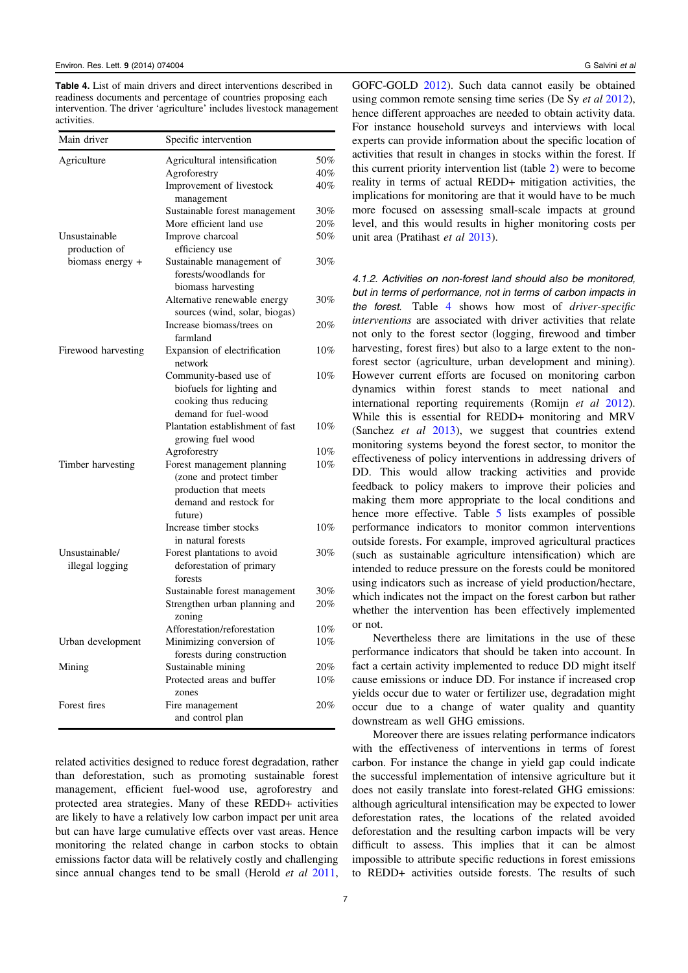<span id="page-7-0"></span>Table 4. List of main drivers and direct interventions described in readiness documents and percentage of countries proposing each intervention. The driver 'agriculture' includes livestock management activities.

| Main driver         | Specific intervention                              |        |
|---------------------|----------------------------------------------------|--------|
| Agriculture         | Agricultural intensification                       | 50%    |
|                     | Agroforestry                                       | 40%    |
|                     | Improvement of livestock                           | 40%    |
|                     | management                                         |        |
|                     | Sustainable forest management                      | 30%    |
|                     | More efficient land use                            | 20%    |
| Unsustainable       | Improve charcoal                                   | 50%    |
| production of       | efficiency use                                     |        |
| biomass energy +    | Sustainable management of<br>forests/woodlands for | 30%    |
|                     | biomass harvesting                                 |        |
|                     | Alternative renewable energy                       | 30%    |
|                     | sources (wind, solar, biogas)                      |        |
|                     | Increase biomass/trees on                          | 20%    |
|                     | farmland                                           |        |
|                     | Expansion of electrification                       | $10\%$ |
| Firewood harvesting | network                                            |        |
|                     | Community-based use of                             | 10%    |
|                     | biofuels for lighting and                          |        |
|                     | cooking thus reducing                              |        |
|                     | demand for fuel-wood                               |        |
|                     | Plantation establishment of fast                   | 10%    |
|                     |                                                    |        |
|                     | growing fuel wood                                  |        |
|                     | Agroforestry                                       | $10\%$ |
| Timber harvesting   | Forest management planning                         | 10%    |
|                     | (zone and protect timber<br>production that meets  |        |
|                     |                                                    |        |
|                     | demand and restock for                             |        |
|                     | future)                                            |        |
|                     | Increase timber stocks                             | $10\%$ |
|                     | in natural forests                                 |        |
| Unsustainable/      | Forest plantations to avoid                        | 30%    |
| illegal logging     | deforestation of primary<br>forests                |        |
|                     | Sustainable forest management                      | 30%    |
|                     | Strengthen urban planning and                      | $20\%$ |
|                     | zoning                                             |        |
|                     | Afforestation/reforestation                        | 10%    |
| Urban development   | Minimizing conversion of                           | $10\%$ |
|                     | forests during construction                        |        |
| Mining              | Sustainable mining                                 | 20%    |
|                     | Protected areas and buffer                         | 10%    |
|                     | zones                                              |        |
| Forest fires        | Fire management                                    | 20%    |
|                     | and control plan                                   |        |

related activities designed to reduce forest degradation, rather than deforestation, such as promoting sustainable forest management, efficient fuel-wood use, agroforestry and protected area strategies. Many of these REDD+ activities are likely to have a relatively low carbon impact per unit area but can have large cumulative effects over vast areas. Hence monitoring the related change in carbon stocks to obtain emissions factor data will be relatively costly and challenging since annual changes tend to be small (Herold *et al* [2011](#page-11-0),

GOFC-GOLD [2012\)](#page-11-0). Such data cannot easily be obtained using common remote sensing time series (De Sy et al [2012](#page-12-0)), hence different approaches are needed to obtain activity data. For instance household surveys and interviews with local experts can provide information about the specific location of activities that result in changes in stocks within the forest. If this current priority intervention list (table [2\)](#page-4-0) were to become reality in terms of actual REDD+ mitigation activities, the implications for monitoring are that it would have to be much more focused on assessing small-scale impacts at ground level, and this would results in higher monitoring costs per unit area (Pratihast et al [2013](#page-11-0)).

4.1.2. Activities on non-forest land should also be monitored, but in terms of performance, not in terms of carbon impacts in the forest. Table 4 shows how most of driver-specific interventions are associated with driver activities that relate not only to the forest sector (logging, firewood and timber harvesting, forest fires) but also to a large extent to the nonforest sector (agriculture, urban development and mining). However current efforts are focused on monitoring carbon dynamics within forest stands to meet national and international reporting requirements (Romijn et al [2012](#page-11-0)). While this is essential for REDD+ monitoring and MRV (Sanchez et al [2013](#page-12-0)), we suggest that countries extend monitoring systems beyond the forest sector, to monitor the effectiveness of policy interventions in addressing drivers of DD. This would allow tracking activities and provide feedback to policy makers to improve their policies and making them more appropriate to the local conditions and hence more effective. Table [5](#page-9-0) lists examples of possible performance indicators to monitor common interventions outside forests. For example, improved agricultural practices (such as sustainable agriculture intensification) which are intended to reduce pressure on the forests could be monitored using indicators such as increase of yield production/hectare, which indicates not the impact on the forest carbon but rather whether the intervention has been effectively implemented or not.

Nevertheless there are limitations in the use of these performance indicators that should be taken into account. In fact a certain activity implemented to reduce DD might itself cause emissions or induce DD. For instance if increased crop yields occur due to water or fertilizer use, degradation might occur due to a change of water quality and quantity downstream as well GHG emissions.

Moreover there are issues relating performance indicators with the effectiveness of interventions in terms of forest carbon. For instance the change in yield gap could indicate the successful implementation of intensive agriculture but it does not easily translate into forest-related GHG emissions: although agricultural intensification may be expected to lower deforestation rates, the locations of the related avoided deforestation and the resulting carbon impacts will be very difficult to assess. This implies that it can be almost impossible to attribute specific reductions in forest emissions to REDD+ activities outside forests. The results of such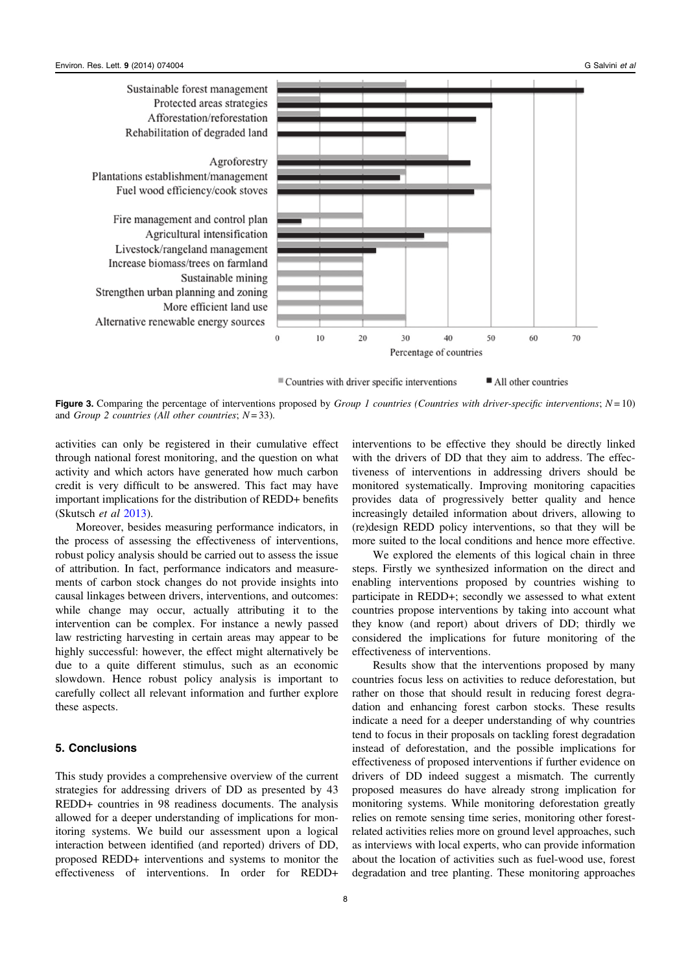<span id="page-8-0"></span>

Figure 3. Comparing the percentage of interventions proposed by Group 1 countries (Countries with driver-specific interventions;  $N = 10$ ) and Group 2 countries (All other countries;  $N = 33$ ).

 $\blacksquare$  Countries with driver specific interventions

activities can only be registered in their cumulative effect through national forest monitoring, and the question on what activity and which actors have generated how much carbon credit is very difficult to be answered. This fact may have important implications for the distribution of REDD+ benefits (Skutsch et al [2013\)](#page-12-0).

Moreover, besides measuring performance indicators, in the process of assessing the effectiveness of interventions, robust policy analysis should be carried out to assess the issue of attribution. In fact, performance indicators and measurements of carbon stock changes do not provide insights into causal linkages between drivers, interventions, and outcomes: while change may occur, actually attributing it to the intervention can be complex. For instance a newly passed law restricting harvesting in certain areas may appear to be highly successful: however, the effect might alternatively be due to a quite different stimulus, such as an economic slowdown. Hence robust policy analysis is important to carefully collect all relevant information and further explore these aspects.

### 5. Conclusions

This study provides a comprehensive overview of the current strategies for addressing drivers of DD as presented by 43 REDD+ countries in 98 readiness documents. The analysis allowed for a deeper understanding of implications for monitoring systems. We build our assessment upon a logical interaction between identified (and reported) drivers of DD, proposed REDD+ interventions and systems to monitor the effectiveness of interventions. In order for REDD+ interventions to be effective they should be directly linked with the drivers of DD that they aim to address. The effectiveness of interventions in addressing drivers should be monitored systematically. Improving monitoring capacities provides data of progressively better quality and hence increasingly detailed information about drivers, allowing to (re)design REDD policy interventions, so that they will be more suited to the local conditions and hence more effective.

All other countries

We explored the elements of this logical chain in three steps. Firstly we synthesized information on the direct and enabling interventions proposed by countries wishing to participate in REDD+; secondly we assessed to what extent countries propose interventions by taking into account what they know (and report) about drivers of DD; thirdly we considered the implications for future monitoring of the effectiveness of interventions.

Results show that the interventions proposed by many countries focus less on activities to reduce deforestation, but rather on those that should result in reducing forest degradation and enhancing forest carbon stocks. These results indicate a need for a deeper understanding of why countries tend to focus in their proposals on tackling forest degradation instead of deforestation, and the possible implications for effectiveness of proposed interventions if further evidence on drivers of DD indeed suggest a mismatch. The currently proposed measures do have already strong implication for monitoring systems. While monitoring deforestation greatly relies on remote sensing time series, monitoring other forestrelated activities relies more on ground level approaches, such as interviews with local experts, who can provide information about the location of activities such as fuel-wood use, forest degradation and tree planting. These monitoring approaches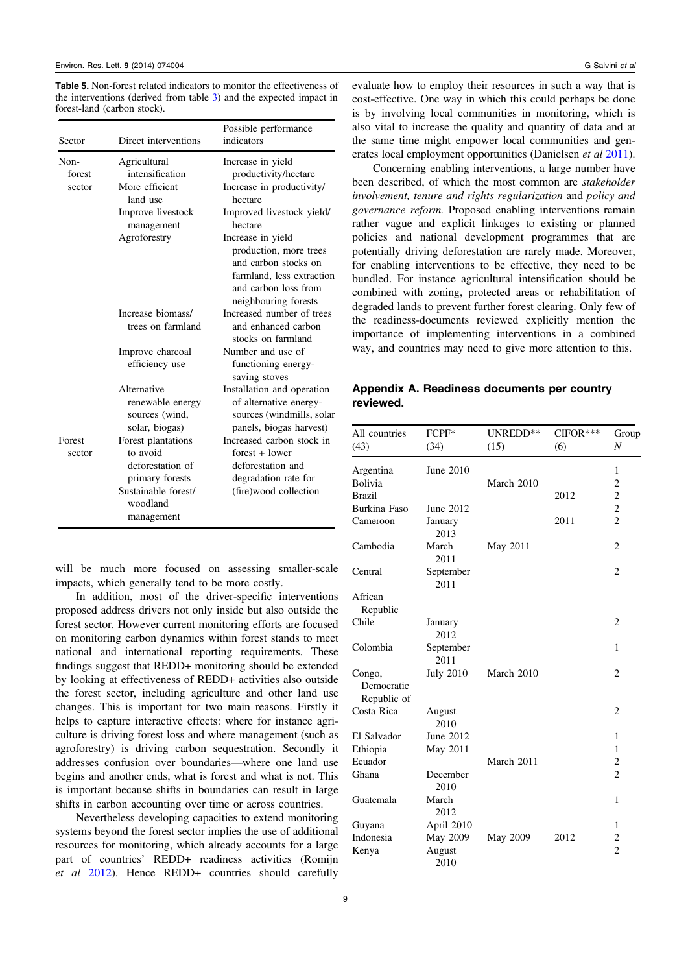forest-land (carbon stock).

<span id="page-9-0"></span>Table 5. Non-forest related indicators to monitor the effectiveness of the interventions (derived from table [3](#page-5-0)) and the expected impact in

| Sector                   | Direct interventions                                                                         | Possible performance<br>indicators                                                                                                               |
|--------------------------|----------------------------------------------------------------------------------------------|--------------------------------------------------------------------------------------------------------------------------------------------------|
| Non-<br>forest<br>sector | Agricultural<br>intensification<br>More efficient<br>land use                                | Increase in yield<br>productivity/hectare<br>Increase in productivity/<br>hectare                                                                |
|                          | Improve livestock<br>management                                                              | Improved livestock yield/<br>hectare                                                                                                             |
|                          | Agroforestry                                                                                 | Increase in yield<br>production, more trees<br>and carbon stocks on<br>farmland, less extraction<br>and carbon loss from<br>neighbouring forests |
|                          | Increase biomass/<br>trees on farmland                                                       | Increased number of trees<br>and enhanced carbon<br>stocks on farmland                                                                           |
|                          | Improve charcoal<br>efficiency use                                                           | Number and use of<br>functioning energy-<br>saving stoves                                                                                        |
|                          | Alternative<br>renewable energy<br>sources (wind,<br>solar, biogas)                          | Installation and operation<br>of alternative energy-<br>sources (windmills, solar<br>panels, biogas harvest)                                     |
| Forest<br>sector         | Forest plantations<br>to avoid<br>deforestation of<br>primary forests<br>Sustainable forest/ | Increased carbon stock in<br>$forest + lower$<br>deforestation and<br>degradation rate for<br>(fire)wood collection                              |
|                          | woodland<br>management                                                                       |                                                                                                                                                  |

will be much more focused on assessing smaller-scale impacts, which generally tend to be more costly.

In addition, most of the driver-specific interventions proposed address drivers not only inside but also outside the forest sector. However current monitoring efforts are focused on monitoring carbon dynamics within forest stands to meet national and international reporting requirements. These findings suggest that REDD+ monitoring should be extended by looking at effectiveness of REDD+ activities also outside the forest sector, including agriculture and other land use changes. This is important for two main reasons. Firstly it helps to capture interactive effects: where for instance agriculture is driving forest loss and where management (such as agroforestry) is driving carbon sequestration. Secondly it addresses confusion over boundaries—where one land use begins and another ends, what is forest and what is not. This is important because shifts in boundaries can result in large shifts in carbon accounting over time or across countries.

Nevertheless developing capacities to extend monitoring systems beyond the forest sector implies the use of additional resources for monitoring, which already accounts for a large part of countries' REDD+ readiness activities (Romijn et al [2012\)](#page-11-0). Hence REDD+ countries should carefully

evaluate how to employ their resources in such a way that is cost-effective. One way in which this could perhaps be done is by involving local communities in monitoring, which is also vital to increase the quality and quantity of data and at the same time might empower local communities and generates local employment opportunities (Danielsen *et al* 2011).

Concerning enabling interventions, a large number have been described, of which the most common are stakeholder involvement, tenure and rights regularization and policy and governance reform. Proposed enabling interventions remain rather vague and explicit linkages to existing or planned policies and national development programmes that are potentially driving deforestation are rarely made. Moreover, for enabling interventions to be effective, they need to be bundled. For instance agricultural intensification should be combined with zoning, protected areas or rehabilitation of degraded lands to prevent further forest clearing. Only few of the readiness-documents reviewed explicitly mention the importance of implementing interventions in a combined way, and countries may need to give more attention to this.

## Appendix A. Readiness documents per country reviewed.

| All countries                       | FCPF*             | UNREDD**   | CIFOR*** | Group                   |  |
|-------------------------------------|-------------------|------------|----------|-------------------------|--|
| (43)                                | (34)              | (15)       | (6)      | $\boldsymbol{N}$        |  |
| Argentina                           | June 2010         |            |          | 1                       |  |
| <b>Bolivia</b>                      |                   | March 2010 |          | $\overline{c}$          |  |
| <b>Brazil</b>                       |                   |            | 2012     | $\overline{c}$          |  |
| <b>Burkina Faso</b>                 | June 2012         |            |          | $\overline{c}$          |  |
| Cameroon                            | January<br>2013   |            | 2011     | $\overline{2}$          |  |
| Cambodia                            | March<br>2011     | May 2011   |          | 2                       |  |
| Central                             | September<br>2011 |            |          | $\overline{2}$          |  |
| African                             |                   |            |          |                         |  |
| Republic                            |                   |            |          |                         |  |
| Chile                               | January<br>2012   |            |          | 2                       |  |
| Colombia                            | September<br>2011 |            |          | 1                       |  |
| Congo,<br>Democratic<br>Republic of | <b>July 2010</b>  | March 2010 |          | $\overline{2}$          |  |
| Costa Rica                          | August<br>2010    |            |          | 2                       |  |
| El Salvador                         | June 2012         |            |          | 1                       |  |
| Ethiopia                            | May 2011          |            |          | 1                       |  |
| Ecuador                             |                   | March 2011 |          | 2                       |  |
| Ghana                               | December<br>2010  |            |          | $\overline{2}$          |  |
| Guatemala                           | March<br>2012     |            |          | 1                       |  |
| Guyana                              | April 2010        |            |          | 1                       |  |
| Indonesia                           | May 2009          | May 2009   | 2012     | $\overline{\mathbf{c}}$ |  |
| Kenya                               | August<br>2010    |            |          | $\overline{c}$          |  |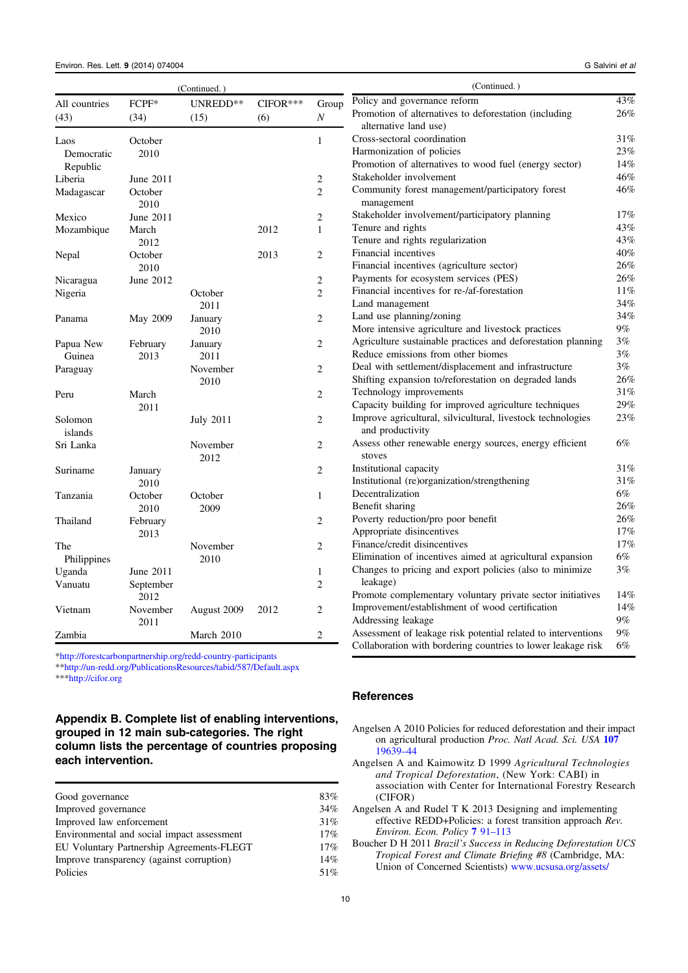<span id="page-10-0"></span>

|                    |                 | (Continued.)     |          |                  | (Continued.)                                                                    |       |
|--------------------|-----------------|------------------|----------|------------------|---------------------------------------------------------------------------------|-------|
| All countries      | FCPF*           | UNREDD**         | CIFOR*** | Group            | Policy and governance reform                                                    | 43%   |
| (43)               | (34)            | (15)             | (6)      | $\boldsymbol{N}$ | Promotion of alternatives to deforestation (including<br>alternative land use)  | 26%   |
| Laos               | October         |                  |          | $\mathbf{1}$     | Cross-sectoral coordination                                                     | 31%   |
| Democratic         | 2010            |                  |          |                  | Harmonization of policies                                                       | 23%   |
| Republic           |                 |                  |          |                  | Promotion of alternatives to wood fuel (energy sector)                          | 14%   |
| Liberia            | June 2011       |                  |          | $\mathbf{2}$     | Stakeholder involvement                                                         | 46%   |
| Madagascar         | October<br>2010 |                  |          | $\overline{2}$   | Community forest management/participatory forest<br>management                  | 46%   |
| Mexico             | June 2011       |                  |          | $\overline{c}$   | Stakeholder involvement/participatory planning                                  | 17%   |
| Mozambique         | March           |                  | 2012     | $\mathbf{1}$     | Tenure and rights                                                               | 43%   |
|                    | 2012            |                  |          |                  | Tenure and rights regularization                                                | 43%   |
| Nepal              | October         |                  | 2013     | 2                | Financial incentives                                                            | 40%   |
|                    | 2010            |                  |          |                  | Financial incentives (agriculture sector)                                       | 26%   |
| Nicaragua          | June 2012       |                  |          | $\mathbf{2}$     | Payments for ecosystem services (PES)                                           | 26%   |
| Nigeria            |                 | October          |          | 2                | Financial incentives for re-/af-forestation                                     | 11%   |
|                    |                 | 2011             |          |                  | Land management                                                                 | 34%   |
| Panama             | May 2009        | January          |          | 2                | Land use planning/zoning                                                        | 34%   |
|                    |                 | 2010             |          |                  | More intensive agriculture and livestock practices                              | $9\%$ |
| Papua New          | February        | January          |          | 2                | Agriculture sustainable practices and deforestation planning                    | $3\%$ |
| Guinea             | 2013            | 2011             |          |                  | Reduce emissions from other biomes                                              | $3\%$ |
| Paraguay           |                 | November         |          | 2                | Deal with settlement/displacement and infrastructure                            | $3\%$ |
|                    |                 | 2010             |          |                  | Shifting expansion to/reforestation on degraded lands                           | 26%   |
| Peru               | March           |                  |          | 2                | Technology improvements                                                         | 31%   |
|                    | 2011            |                  |          |                  | Capacity building for improved agriculture techniques                           | 29%   |
| Solomon<br>islands |                 | <b>July 2011</b> |          | 2                | Improve agricultural, silvicultural, livestock technologies<br>and productivity | 23%   |
| Sri Lanka          |                 | November<br>2012 |          | $\mathbf{2}$     | Assess other renewable energy sources, energy efficient<br>stoves               | 6%    |
| Suriname           | January         |                  |          | 2                | Institutional capacity                                                          | 31%   |
|                    | 2010            |                  |          |                  | Institutional (re)organization/strengthening                                    | 31%   |
| Tanzania           | October         | October          |          | $\mathbf{1}$     | Decentralization                                                                | 6%    |
|                    | 2010            | 2009             |          |                  | Benefit sharing                                                                 | 26%   |
| Thailand           | February        |                  |          | 2                | Poverty reduction/pro poor benefit                                              | 26%   |
|                    | 2013            |                  |          |                  | Appropriate disincentives                                                       | 17%   |
| The                |                 | November         |          | 2                | Finance/credit disincentives                                                    | 17%   |
| Philippines        |                 | 2010             |          |                  | Elimination of incentives aimed at agricultural expansion                       | 6%    |
| Uganda             | June 2011       |                  |          | $\mathbf{1}$     | Changes to pricing and export policies (also to minimize                        | $3\%$ |
| Vanuatu            | September       |                  |          | $\mathbf{2}$     | leakage)                                                                        |       |
|                    | 2012            |                  |          |                  | Promote complementary voluntary private sector initiatives                      | 14%   |
| Vietnam            | November        | August 2009      | 2012     | $\mathbf{2}$     | Improvement/establishment of wood certification                                 | 14%   |
|                    | 2011            |                  |          |                  | Addressing leakage                                                              | 9%    |
| Zambia             |                 | March 2010       |          | 2                | Assessment of leakage risk potential related to interventions                   | $9\%$ |
|                    |                 |                  |          |                  | Collaboration with bordering countries to lower leakage risk                    | $6\%$ |

\*<http://forestcarbonpartnership.org/redd-country-participants>

\*\*<http://un-redd.org/PublicationsResources/tabid/587/Default.aspx> \*\*\*<http://cifor.org>

Appendix B. Complete list of enabling interventions, grouped in 12 main sub-categories. The right column lists the percentage of countries proposing each intervention.

| Good governance                            | 83% |
|--------------------------------------------|-----|
| Improved governance                        | 34% |
| Improved law enforcement                   | 31% |
| Environmental and social impact assessment | 17% |
| EU Voluntary Partnership Agreements-FLEGT  | 17% |
| Improve transparency (against corruption)  | 14% |
| Policies                                   | 51% |
|                                            |     |

## References

- Angelsen A 2010 Policies for reduced deforestation and their impact on agricultural production Proc. Natl Acad. Sci. USA [107](http://dx.doi.org/10.1073/pnas.0912014107) [19639](http://dx.doi.org/10.1073/pnas.0912014107)–44
- Angelsen A and Kaimowitz D 1999 Agricultural Technologies and Tropical Deforestation, (New York: CABI) in association with Center for International Forestry Research (CIFOR)
- Angelsen A and Rudel T K 2013 Designing and implementing effective REDD+Policies: a forest transition approach Rev. Environ. Econ. Policy 7 91–[113](http://dx.doi.org/10.1093/reep/res022)
- Boucher D H 2011 Brazil's Success in Reducing Deforestation UCS Tropical Forest and Climate Briefing #8 (Cambridge, MA: Union of Concerned Scientists) [www.ucsusa.org/assets/](http://www.ucsusa.org/assets/documents/global warming/Brazil-s-Success-in-Reducing-Deforestation.pdf)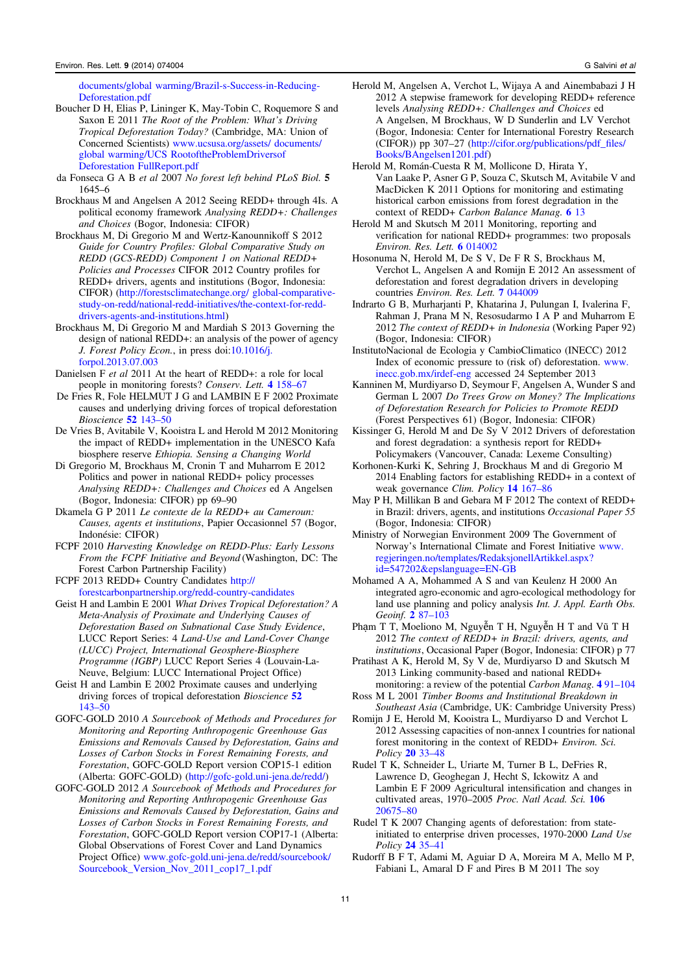<span id="page-11-0"></span>[documents/global warming/Brazil-s-Success-in-Reducing-](http://www.ucsusa.org/assets/documents/global warming/Brazil-s-Success-in-Reducing-Deforestation.pdf)[Deforestation.pdf](http://www.ucsusa.org/assets/documents/global warming/Brazil-s-Success-in-Reducing-Deforestation.pdf)

- Boucher D H, Elias P, Lininger K, May-Tobin C, Roquemore S and Saxon E 2011 The Root of the Problem: What's Driving Tropical Deforestation Today? (Cambridge, MA: Union of Concerned Scientists) [www.ucsusa.org/assets/ documents/](http://www.ucsusa.org/assets/ documents/global warming/UCS RootoftheProblemDriversofDeforestation FullReport.pdf) [global warming/UCS RootoftheProblemDriversof](http://www.ucsusa.org/assets/ documents/global warming/UCS RootoftheProblemDriversofDeforestation FullReport.pdf) [Deforestation FullReport.pdf](http://www.ucsusa.org/assets/ documents/global warming/UCS RootoftheProblemDriversofDeforestation FullReport.pdf)
- da Fonseca G A B et al 2007 No forest left behind PLoS Biol. 5 1645–6
- Brockhaus M and Angelsen A 2012 Seeing REDD+ through 4Is. A political economy framework Analysing REDD+: Challenges and Choices (Bogor, Indonesia: CIFOR)
- Brockhaus M, Di Gregorio M and Wertz-Kanounnikoff S 2012 Guide for Country Profiles: Global Comparative Study on REDD (GCS-REDD) Component 1 on National REDD+ Policies and Processes CIFOR 2012 Country profiles for REDD+ drivers, agents and institutions (Bogor, Indonesia: CIFOR) [\(http://forestsclimatechange.org/ global-comparative](http://forestsclimatechange.org/ global-comparative-study-on-redd/national-redd-initiatives/the-context-for-redd-drivers-agents-and-institutions.html)[study-on-redd/national-redd-initiatives/the-context-for-redd](http://forestsclimatechange.org/ global-comparative-study-on-redd/national-redd-initiatives/the-context-for-redd-drivers-agents-and-institutions.html)[drivers-agents-and-institutions.html\)](http://forestsclimatechange.org/ global-comparative-study-on-redd/national-redd-initiatives/the-context-for-redd-drivers-agents-and-institutions.html)
- Brockhaus M, Di Gregorio M and Mardiah S 2013 Governing the design of national REDD+: an analysis of the power of agency J. Forest Policy Econ., in press [doi:10.1016/j.](http://dx.doi.org/10.1016/j.forpol.2013.07.003) [forpol.2013.07.003](http://dx.doi.org/10.1016/j.forpol.2013.07.003)
- Danielsen F et al 2011 At the heart of REDD+: a role for local people in monitoring forests? Conserv. Lett. 4 [158](http://dx.doi.org/10.1111/conl.2011.4.issue-2)–67
- De Fries R, Fole HELMUT J G and LAMBIN E F 2002 Proximate causes and underlying driving forces of tropical deforestation Bioscience 52 [143](http://dx.doi.org/10.1641/0006-3568(2002)052[0143:PCAUDF]2.0.CO;2)–50
- De Vries B, Avitabile V, Kooistra L and Herold M 2012 Monitoring the impact of REDD+ implementation in the UNESCO Kafa biosphere reserve Ethiopia. Sensing a Changing World
- Di Gregorio M, Brockhaus M, Cronin T and Muharrom E 2012 Politics and power in national REDD+ policy processes Analysing REDD+: Challenges and Choices ed A Angelsen (Bogor, Indonesia: CIFOR) pp 69–90
- Dkamela G P 2011 Le contexte de la REDD+ au Cameroun: Causes, agents et institutions, Papier Occasionnel 57 (Bogor, Indonésie: CIFOR)
- FCPF 2010 Harvesting Knowledge on REDD-Plus: Early Lessons From the FCPF Initiative and Beyond (Washington, DC: The Forest Carbon Partnership Facility)
- FCPF 2013 REDD+ Country Candidates [http://](http://forestcarbonpartnership.org/redd-country-candidates) [forestcarbonpartnership.org/redd-country-candidates](http://forestcarbonpartnership.org/redd-country-candidates)
- Geist H and Lambin E 2001 What Drives Tropical Deforestation? A Meta-Analysis of Proximate and Underlying Causes of Deforestation Based on Subnational Case Study Evidence, LUCC Report Series: 4 Land-Use and Land-Cover Change (LUCC) Project, International Geosphere-Biosphere Programme (IGBP) LUCC Report Series 4 (Louvain-La-Neuve, Belgium: LUCC International Project Office)
- Geist H and Lambin E 2002 Proximate causes and underlying driving forces of tropical deforestation Bioscience [52](http://dx.doi.org/10.1641/0006-3568(2002)052[0143:PCAUDF]2.0.CO;2) [143](http://dx.doi.org/10.1641/0006-3568(2002)052[0143:PCAUDF]2.0.CO;2)–50
- GOFC-GOLD 2010 A Sourcebook of Methods and Procedures for Monitoring and Reporting Anthropogenic Greenhouse Gas Emissions and Removals Caused by Deforestation, Gains and Losses of Carbon Stocks in Forest Remaining Forests, and Forestation, GOFC-GOLD Report version COP15-1 edition (Alberta: GOFC-GOLD) [\(http://gofc-gold.uni-jena.de/redd/\)](http://gofc-gold.uni-jena.de/redd/)
- GOFC-GOLD 2012 A Sourcebook of Methods and Procedures for Monitoring and Reporting Anthropogenic Greenhouse Gas Emissions and Removals Caused by Deforestation, Gains and Losses of Carbon Stocks in Forest Remaining Forests, and Forestation, GOFC-GOLD Report version COP17-1 (Alberta: Global Observations of Forest Cover and Land Dynamics Project Office) [www.gofc-gold.uni-jena.de/redd/sourcebook/](http://www.gofc-gold.uni-jena.de/redd/sourcebook/Sourcebook_Version_Nov_2011_cop17_1.pdf) [Sourcebook\\_Version\\_Nov\\_2011\\_cop17\\_1.pdf](http://www.gofc-gold.uni-jena.de/redd/sourcebook/Sourcebook_Version_Nov_2011_cop17_1.pdf)
- Herold M, Angelsen A, Verchot L, Wijaya A and Ainembabazi J H 2012 A stepwise framework for developing REDD+ reference levels Analysing REDD+: Challenges and Choices ed A Angelsen, M Brockhaus, W D Sunderlin and LV Verchot (Bogor, Indonesia: Center for International Forestry Research (CIFOR)) pp 307–27 ([http://cifor.org/publications/pdf\\_](http://cifor.org/publications/pdf_files/Books/BAngelsen1201.pdf)files/ [Books/BAngelsen1201.pdf](http://cifor.org/publications/pdf_files/Books/BAngelsen1201.pdf))
- Herold M, Román-Cuesta R M, Mollicone D, Hirata Y, Van Laake P, Asner G P, Souza C, Skutsch M, Avitabile V and MacDicken K 2011 Options for monitoring and estimating historical carbon emissions from forest degradation in the context of REDD+ Carbon Balance Manag. 6 [13](http://dx.doi.org/10.1186/1750-0680-6-13)
- Herold M and Skutsch M 2011 Monitoring, reporting and verification for national REDD+ programmes: two proposals Environ. Res. Lett. 6 [014002](http://dx.doi.org/10.1088/1748-9326/6/1/014002)
- Hosonuma N, Herold M, De S V, De F R S, Brockhaus M, Verchot L, Angelsen A and Romijn E 2012 An assessment of deforestation and forest degradation drivers in developing countries Environ. Res. Lett. 7 [044009](http://dx.doi.org/10.1088/1748-9326/7/4/044009)
- Indrarto G B, Murharjanti P, Khatarina J, Pulungan I, Ivalerina F, Rahman J, Prana M N, Resosudarmo I A P and Muharrom E 2012 The context of REDD+ in Indonesia (Working Paper 92) (Bogor, Indonesia: CIFOR)
- InstitutoNacional de Ecologia y CambioClimatico (INECC) 2012 Index of economic pressure to (risk of) deforestation. [www.](http://www.inecc.gob.mx/irdef-eng) [inecc.gob.mx/irdef-eng](http://www.inecc.gob.mx/irdef-eng) accessed 24 September 2013
- Kanninen M, Murdiyarso D, Seymour F, Angelsen A, Wunder S and German L 2007 Do Trees Grow on Money? The Implications of Deforestation Research for Policies to Promote REDD (Forest Perspectives 61) (Bogor, Indonesia: CIFOR)
- Kissinger G, Herold M and De Sy V 2012 Drivers of deforestation and forest degradation: a synthesis report for REDD+ Policymakers (Vancouver, Canada: Lexeme Consulting)
- Korhonen-Kurki K, Sehring J, Brockhaus M and di Gregorio M 2014 Enabling factors for establishing REDD+ in a context of weak governance Clim. Policy 14 [167](http://dx.doi.org/10.1080/14693062.2014.852022)-86
- May P H, Millikan B and Gebara M F 2012 The context of REDD+ in Brazil: drivers, agents, and institutions Occasional Paper 55 (Bogor, Indonesia: CIFOR)
- Ministry of Norwegian Environment 2009 The Government of Norway's International Climate and Forest Initiative [www.](www.regjeringen.no/templates/RedaksjonellArtikkel.aspx?id=547202&epslanguage=EN-GB) [regjeringen.no/templates/RedaksjonellArtikkel.aspx?](www.regjeringen.no/templates/RedaksjonellArtikkel.aspx?id=547202&epslanguage=EN-GB) [id=547202&epslanguage=EN-GB](www.regjeringen.no/templates/RedaksjonellArtikkel.aspx?id=547202&epslanguage=EN-GB)
- Mohamed A A, Mohammed A S and van Keulenz H 2000 An integrated agro-economic and agro-ecological methodology for land use planning and policy analysis Int. J. Appl. Earth Obs. Geoinf. 2 87–[103](http://dx.doi.org/10.1016/S0303-2434(00)85003-5)
- Phạm T T, Moeliono M, Nguyễn T H, Nguyễn H T and Vũ T H 2012 The context of REDD+ in Brazil: drivers, agents, and institutions, Occasional Paper (Bogor, Indonesia: CIFOR) p 77
- Pratihast A K, Herold M, Sy V de, Murdiyarso D and Skutsch M 2013 Linking community-based and national REDD+ monitoring: a review of the potential *Carbon Manag*. 491-[104](http://dx.doi.org/10.4155/cmt.12.75)
- Ross M L 2001 Timber Booms and Institutional Breakdown in Southeast Asia (Cambridge, UK: Cambridge University Press)
- Romijn J E, Herold M, Kooistra L, Murdiyarso D and Verchot L 2012 Assessing capacities of non-annex I countries for national forest monitoring in the context of REDD+ Environ. Sci. Policy 20 [33](http://dx.doi.org/10.1016/j.envsci.2012.01.005)–48
- Rudel T K, Schneider L, Uriarte M, Turner B L, DeFries R, Lawrence D, Geoghegan J, Hecht S, Ickowitz A and Lambin E F 2009 Agricultural intensification and changes in cultivated areas, 1970-2005 Proc. Natl Acad. Sci. [106](http://dx.doi.org/10.1073/pnas.0812540106) [20675](http://dx.doi.org/10.1073/pnas.0812540106)–80
- Rudel T K 2007 Changing agents of deforestation: from stateinitiated to enterprise driven processes, 1970-2000 Land Use Policy 24 [35](http://dx.doi.org/10.1016/j.landusepol.2005.11.004)–41
- Rudorff B F T, Adami M, Aguiar D A, Moreira M A, Mello M P, Fabiani L, Amaral D F and Pires B M 2011 The soy